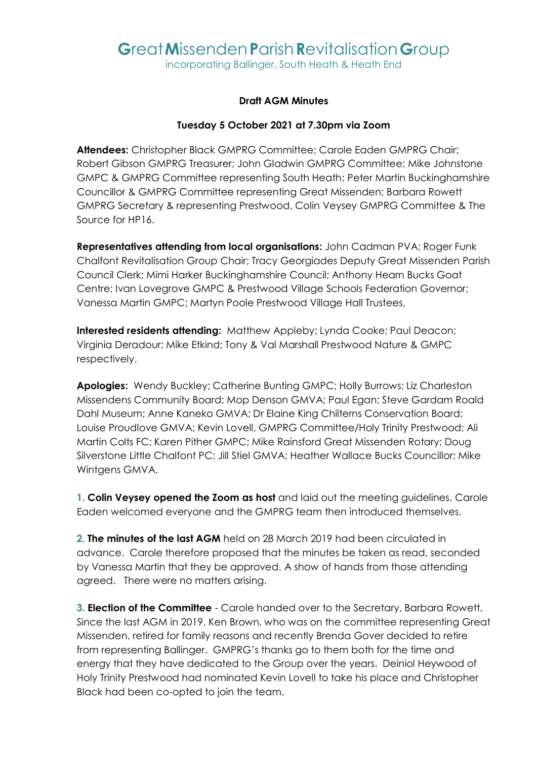## **G**reat**M**issenden**P**arish**R**evitalisation**G**roup

incorporating Ballinger, South Heath & Heath End

## **Draft AGM Minutes**

## **Tuesday 5 October 2021 at 7.30pm via Zoom**

**Attendees:** Christopher Black GMPRG Committee; Carole Eaden GMPRG Chair; Robert Gibson GMPRG Treasurer; John Gladwin GMPRG Committee; Mike Johnstone GMPC & GMPRG Committee representing South Heath; Peter Martin Buckinghamshire Councillor & GMPRG Committee representing Great Missenden; Barbara Rowett GMPRG Secretary & representing Prestwood, Colin Veysey GMPRG Committee & The Source for HP16.

**Representatives attending from local organisations:** John Cadman PVA; Roger Funk Chalfont Revitalisation Group Chair; Tracy Georgiades Deputy Great Missenden Parish Council Clerk; Mimi Harker Buckinghamshire Council; Anthony Hearn Bucks Goat Centre; Ivan Lovegrove GMPC & Prestwood Village Schools Federation Governor; Vanessa Martin GMPC; Martyn Poole Prestwood Village Hall Trustees,

**Interested residents attending:** Matthew Appleby; Lynda Cooke; Paul Deacon; Virginia Deradour; Mike Etkind; Tony & Val Marshall Prestwood Nature & GMPC respectively.

**Apologies:** Wendy Buckley; Catherine Bunting GMPC; Holly Burrows; Liz Charleston Missendens Community Board; Mop Denson GMVA; Paul Egan; Steve Gardam Roald Dahl Museum; Anne Kaneko GMVA; Dr Elaine King Chilterns Conservation Board; Louise Proudlove GMVA; Kevin Lovell, GMPRG Committee/Holy Trinity Prestwood; Ali Martin Colts FC; Karen Pither GMPC; Mike Rainsford Great Missenden Rotary; Doug Silverstone Little Chalfont PC; Jill Stiel GMVA; Heather Wallace Bucks Councillor; Mike Wintgens GMVA.

**1. Colin Veysey opened the Zoom as host** and laid out the meeting guidelines. Carole Eaden welcomed everyone and the GMPRG team then introduced themselves.

**2. The minutes of the last AGM** held on 28 March 2019 had been circulated in advance. Carole therefore proposed that the minutes be taken as read, seconded by Vanessa Martin that they be approved. A show of hands from those attending agreed. There were no matters arising.

**3. Election of the Committee** - Carole handed over to the Secretary, Barbara Rowett. Since the last AGM in 2019, Ken Brown, who was on the committee representing Great Missenden, retired for family reasons and recently Brenda Gover decided to retire from representing Ballinger. GMPRG's thanks go to them both for the time and energy that they have dedicated to the Group over the years. Deiniol Heywood of Holy Trinity Prestwood had nominated Kevin Lovell to take his place and Christopher Black had been co-opted to join the team.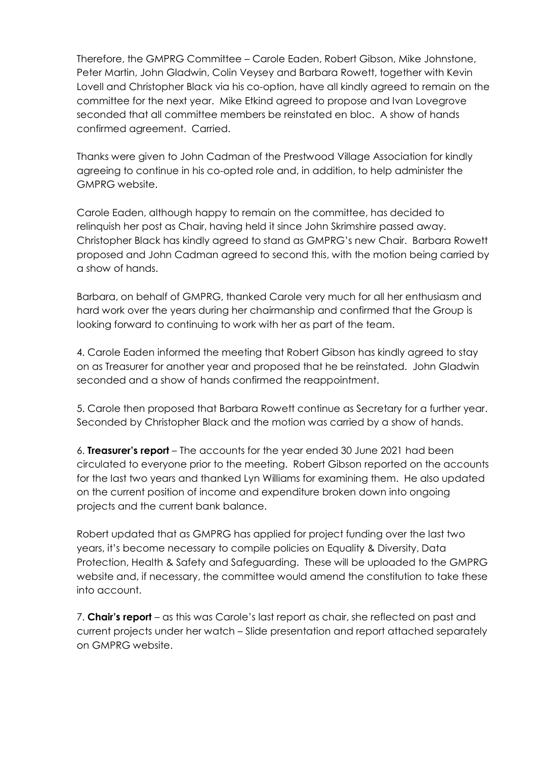Therefore, the GMPRG Committee – Carole Eaden, Robert Gibson, Mike Johnstone, Peter Martin, John Gladwin, Colin Veysey and Barbara Rowett, together with Kevin Lovell and Christopher Black via his co-option, have all kindly agreed to remain on the committee for the next year. Mike Etkind agreed to propose and Ivan Lovegrove seconded that all committee members be reinstated en bloc. A show of hands confirmed agreement. Carried.

Thanks were given to John Cadman of the Prestwood Village Association for kindly agreeing to continue in his co-opted role and, in addition, to help administer the GMPRG website.

Carole Eaden, although happy to remain on the committee, has decided to relinquish her post as Chair, having held it since John Skrimshire passed away. Christopher Black has kindly agreed to stand as GMPRG's new Chair. Barbara Rowett proposed and John Cadman agreed to second this, with the motion being carried by a show of hands.

Barbara, on behalf of GMPRG, thanked Carole very much for all her enthusiasm and hard work over the years during her chairmanship and confirmed that the Group is looking forward to continuing to work with her as part of the team.

4. Carole Eaden informed the meeting that Robert Gibson has kindly agreed to stay on as Treasurer for another year and proposed that he be reinstated. John Gladwin seconded and a show of hands confirmed the reappointment.

5. Carole then proposed that Barbara Rowett continue as Secretary for a further year. Seconded by Christopher Black and the motion was carried by a show of hands.

6. **Treasurer's report** – The accounts for the year ended 30 June 2021 had been circulated to everyone prior to the meeting. Robert Gibson reported on the accounts for the last two years and thanked Lyn Williams for examining them. He also updated on the current position of income and expenditure broken down into ongoing projects and the current bank balance.

Robert updated that as GMPRG has applied for project funding over the last two years, it's become necessary to compile policies on Equality & Diversity, Data Protection, Health & Safety and Safeguarding. These will be uploaded to the GMPRG website and, if necessary, the committee would amend the constitution to take these into account.

7. **Chair's report** – as this was Carole's last report as chair, she reflected on past and current projects under her watch – Slide presentation and report attached separately on GMPRG website.